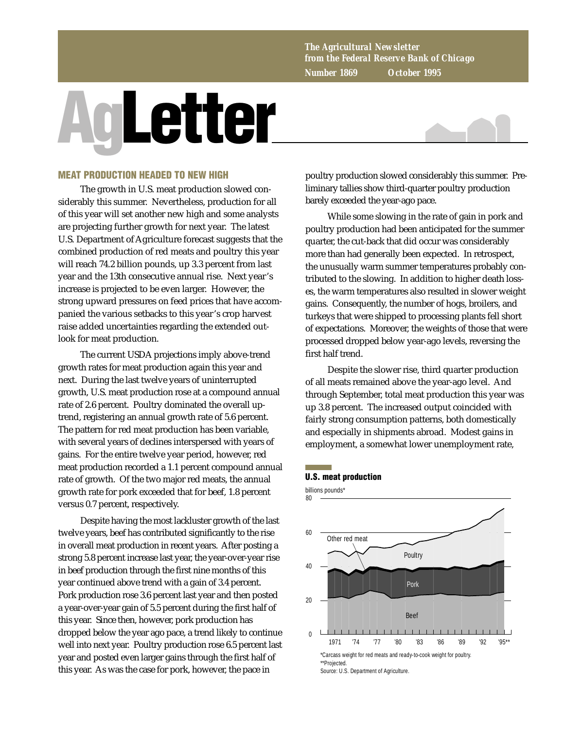*The Agricultural Newsletter from the Federal Reserve Bank of Chicago Number 1869 October 1995*

# **AgLetter**



## **MEAT PRODUCTION HEADED TO NEW HIGH**

The growth in U.S. meat production slowed considerably this summer. Nevertheless, production for all of this year will set another new high and some analysts are projecting further growth for next year. The latest U.S. Department of Agriculture forecast suggests that the combined production of red meats and poultry this year will reach 74.2 billion pounds, up 3.3 percent from last year and the 13th consecutive annual rise. Next year's increase is projected to be even larger. However, the strong upward pressures on feed prices that have accompanied the various setbacks to this year's crop harvest raise added uncertainties regarding the extended outlook for meat production.

The current USDA projections imply above-trend growth rates for meat production again this year and next. During the last twelve years of uninterrupted growth, U.S. meat production rose at a compound annual rate of 2.6 percent. Poultry dominated the overall uptrend, registering an annual growth rate of 5.6 percent. The pattern for red meat production has been variable, with several years of declines interspersed with years of gains. For the entire twelve year period, however, red meat production recorded a 1.1 percent compound annual rate of growth. Of the two major red meats, the annual growth rate for pork exceeded that for beef, 1.8 percent versus 0.7 percent, respectively.

Despite having the most lackluster growth of the last twelve years, beef has contributed significantly to the rise in overall meat production in recent years. After posting a strong 5.8 percent increase last year, the year-over-year rise in beef production through the first nine months of this year continued above trend with a gain of 3.4 percent. Pork production rose 3.6 percent last year and then posted a year-over-year gain of 5.5 percent during the first half of this year. Since then, however, pork production has dropped below the year ago pace, a trend likely to continue well into next year. Poultry production rose 6.5 percent last year and posted even larger gains through the first half of this year. As was the case for pork, however, the pace in

poultry production slowed considerably this summer. Preliminary tallies show third-quarter poultry production barely exceeded the year-ago pace.

While some slowing in the rate of gain in pork and poultry production had been anticipated for the summer quarter, the cut-back that did occur was considerably more than had generally been expected. In retrospect, the unusually warm summer temperatures probably contributed to the slowing. In addition to higher death losses, the warm temperatures also resulted in slower weight gains. Consequently, the number of hogs, broilers, and turkeys that were shipped to processing plants fell short of expectations. Moreover, the weights of those that were processed dropped below year-ago levels, reversing the first half trend.

Despite the slower rise, third quarter production of all meats remained above the year-ago level. And through September, total meat production this year was up 3.8 percent. The increased output coincided with fairly strong consumption patterns, both domestically and especially in shipments abroad. Modest gains in employment, a somewhat lower unemployment rate,

### **U.S. meat production**

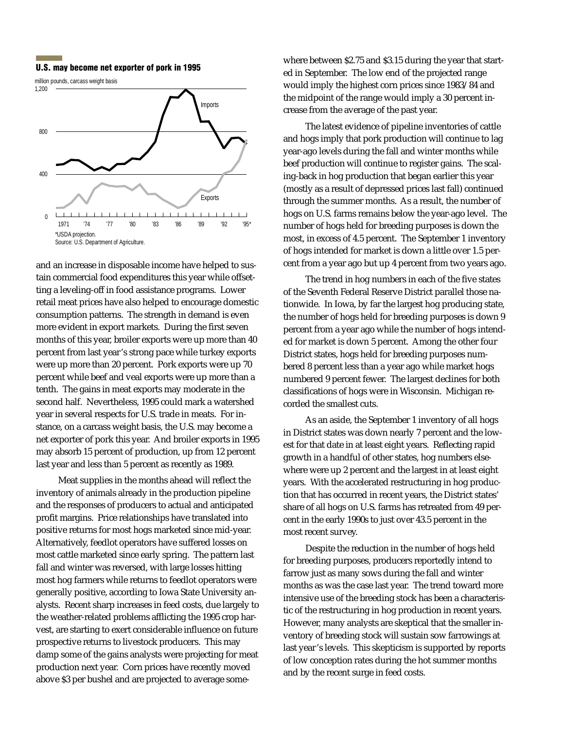

and an increase in disposable income have helped to sustain commercial food expenditures this year while offsetting a leveling-off in food assistance programs. Lower retail meat prices have also helped to encourage domestic consumption patterns. The strength in demand is even more evident in export markets. During the first seven months of this year, broiler exports were up more than 40 percent from last year's strong pace while turkey exports were up more than 20 percent. Pork exports were up 70 percent while beef and veal exports were up more than a tenth. The gains in meat exports may moderate in the second half. Nevertheless, 1995 could mark a watershed year in several respects for U.S. trade in meats. For instance, on a carcass weight basis, the U.S. may become a net exporter of pork this year. And broiler exports in 1995 may absorb 15 percent of production, up from 12 percent last year and less than 5 percent as recently as 1989.

Meat supplies in the months ahead will reflect the inventory of animals already in the production pipeline and the responses of producers to actual and anticipated profit margins. Price relationships have translated into positive returns for most hogs marketed since mid-year. Alternatively, feedlot operators have suffered losses on most cattle marketed since early spring. The pattern last fall and winter was reversed, with large losses hitting most hog farmers while returns to feedlot operators were generally positive, according to Iowa State University analysts. Recent sharp increases in feed costs, due largely to the weather-related problems afflicting the 1995 crop harvest, are starting to exert considerable influence on future prospective returns to livestock producers. This may damp some of the gains analysts were projecting for meat production next year. Corn prices have recently moved above \$3 per bushel and are projected to average some-

**U.S. may become net exporter of pork in 1995** where between \$2.75 and \$3.15 during the year that started in September. The low end of the projected range would imply the highest corn prices since 1983/84 and the midpoint of the range would imply a 30 percent increase from the average of the past year.

> The latest evidence of pipeline inventories of cattle and hogs imply that pork production will continue to lag year-ago levels during the fall and winter months while beef production will continue to register gains. The scaling-back in hog production that began earlier this year (mostly as a result of depressed prices last fall) continued through the summer months. As a result, the number of hogs on U.S. farms remains below the year-ago level. The number of hogs held for breeding purposes is down the most, in excess of 4.5 percent. The September 1 inventory of hogs intended for market is down a little over 1.5 percent from a year ago but up 4 percent from two years ago.

> The trend in hog numbers in each of the five states of the Seventh Federal Reserve District parallel those nationwide. In Iowa, by far the largest hog producing state, the number of hogs held for breeding purposes is down 9 percent from a year ago while the number of hogs intended for market is down 5 percent. Among the other four District states, hogs held for breeding purposes numbered 8 percent less than a year ago while market hogs numbered 9 percent fewer. The largest declines for both classifications of hogs were in Wisconsin. Michigan recorded the smallest cuts.

As an aside, the September 1 inventory of all hogs in District states was down nearly 7 percent and the lowest for that date in at least eight years. Reflecting rapid growth in a handful of other states, hog numbers elsewhere were up 2 percent and the largest in at least eight years. With the accelerated restructuring in hog production that has occurred in recent years, the District states' share of all hogs on U.S. farms has retreated from 49 percent in the early 1990s to just over 43.5 percent in the most recent survey.

Despite the reduction in the number of hogs held for breeding purposes, producers reportedly intend to farrow just as many sows during the fall and winter months as was the case last year. The trend toward more intensive use of the breeding stock has been a characteristic of the restructuring in hog production in recent years. However, many analysts are skeptical that the smaller inventory of breeding stock will sustain sow farrowings at last year's levels. This skepticism is supported by reports of low conception rates during the hot summer months and by the recent surge in feed costs.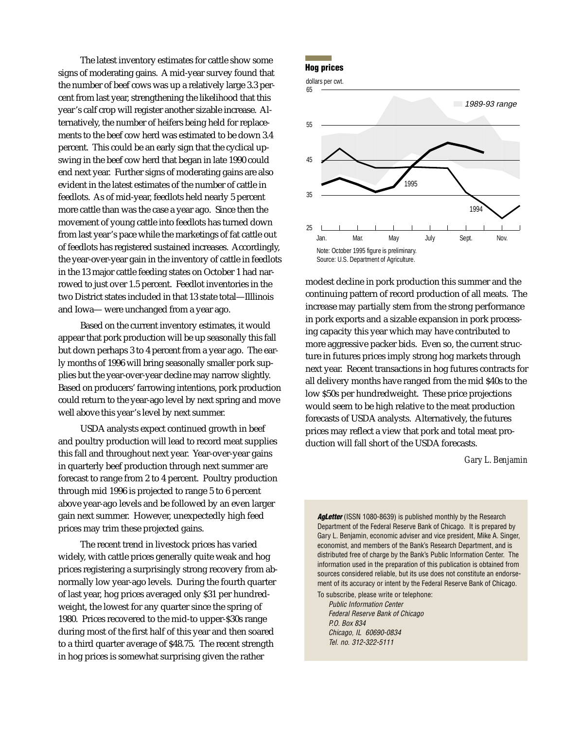**The latest inventory estimates for cattle show some <b>Hog prices**<br> **Hog prices** signs of moderating gains. A mid-year survey found that the number of beef cows was up a relatively large 3.3 percent from last year, strengthening the likelihood that this year's calf crop will register another sizable increase. Alternatively, the number of heifers being held for replacements to the beef cow herd was estimated to be down 3.4 percent. This could be an early sign that the cyclical upswing in the beef cow herd that began in late 1990 could end next year. Further signs of moderating gains are also evident in the latest estimates of the number of cattle in feedlots. As of mid-year, feedlots held nearly 5 percent more cattle than was the case a year ago. Since then the movement of young cattle into feedlots has turned down from last year's pace while the marketings of fat cattle out of feedlots has registered sustained increases. Accordingly, the year-over-year gain in the inventory of cattle in feedlots in the 13 major cattle feeding states on October 1 had narrowed to just over 1.5 percent. Feedlot inventories in the two District states included in that 13 state total—Illlinois and Iowa— were unchanged from a year ago.

Based on the current inventory estimates, it would appear that pork production will be up seasonally this fall but down perhaps 3 to 4 percent from a year ago. The early months of 1996 will bring seasonally smaller pork supplies but the year-over-year decline may narrow slightly. Based on producers' farrowing intentions, pork production could return to the year-ago level by next spring and move well above this year's level by next summer.

USDA analysts expect continued growth in beef and poultry production will lead to record meat supplies this fall and throughout next year. Year-over-year gains in quarterly beef production through next summer are forecast to range from 2 to 4 percent. Poultry production through mid 1996 is projected to range 5 to 6 percent above year-ago levels and be followed by an even larger gain next summer. However, unexpectedly high feed prices may trim these projected gains.

The recent trend in livestock prices has varied widely, with cattle prices generally quite weak and hog prices registering a surprisingly strong recovery from abnormally low year-ago levels. During the fourth quarter of last year, hog prices averaged only \$31 per hundredweight, the lowest for any quarter since the spring of 1980. Prices recovered to the mid-to upper-\$30s range during most of the first half of this year and then soared to a third quarter average of \$48.75. The recent strength in hog prices is somewhat surprising given the rather





modest decline in pork production this summer and the continuing pattern of record production of all meats. The increase may partially stem from the strong performance in pork exports and a sizable expansion in pork processing capacity this year which may have contributed to more aggressive packer bids. Even so, the current structure in futures prices imply strong hog markets through next year. Recent transactions in hog futures contracts for all delivery months have ranged from the mid \$40s to the low \$50s per hundredweight. These price projections would seem to be high relative to the meat production forecasts of USDA analysts. Alternatively, the futures prices may reflect a view that pork and total meat production will fall short of the USDA forecasts.

### *Gary L. Benjamin*

**AgLetter** (ISSN 1080-8639) is published monthly by the Research Department of the Federal Reserve Bank of Chicago. It is prepared by Gary L. Benjamin, economic adviser and vice president, Mike A. Singer, economist, and members of the Bank's Research Department, and is distributed free of charge by the Bank's Public Information Center. The information used in the preparation of this publication is obtained from sources considered reliable, but its use does not constitute an endorsement of its accuracy or intent by the Federal Reserve Bank of Chicago.

To subscribe, please write or telephone: Public Information Center Federal Reserve Bank of Chicago P.O. Box 834 Chicago, IL 60690-0834 Tel. no. 312-322-5111